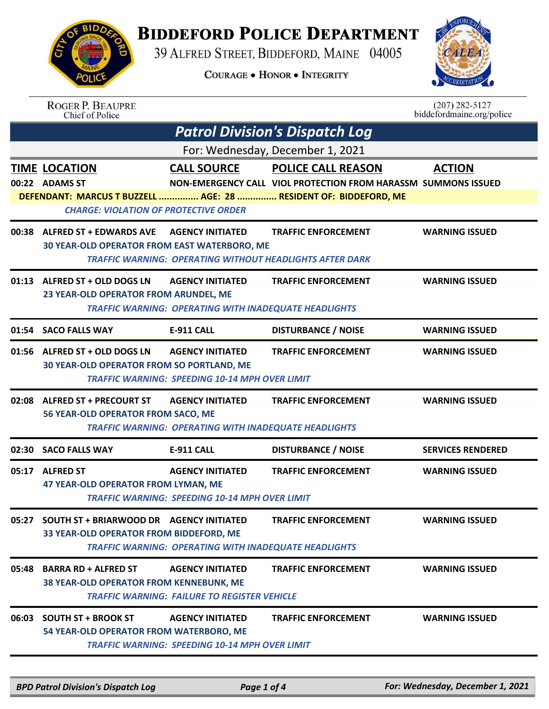## **BIDDEFORD POLICE DEPARTMENT**

39 ALFRED STREET, BIDDEFORD, MAINE 04005

**COURAGE . HONOR . INTEGRITY** 



|                                  | <b>ROGER P. BEAUPRE</b><br>Chief of Police                                                                                     |                                                                                            |                                                                                                                                                                 | $(207)$ 282-5127<br>biddefordmaine.org/police |  |  |  |  |
|----------------------------------|--------------------------------------------------------------------------------------------------------------------------------|--------------------------------------------------------------------------------------------|-----------------------------------------------------------------------------------------------------------------------------------------------------------------|-----------------------------------------------|--|--|--|--|
|                                  | <b>Patrol Division's Dispatch Log</b>                                                                                          |                                                                                            |                                                                                                                                                                 |                                               |  |  |  |  |
| For: Wednesday, December 1, 2021 |                                                                                                                                |                                                                                            |                                                                                                                                                                 |                                               |  |  |  |  |
|                                  | <b>TIME LOCATION</b><br>00:22 ADAMS ST                                                                                         | <b>CALL SOURCE</b>                                                                         | <b>POLICE CALL REASON</b><br>NON-EMERGENCY CALL VIOL PROTECTION FROM HARASSM SUMMONS ISSUED<br>DEFENDANT: MARCUS T BUZZELL  AGE: 28  RESIDENT OF: BIDDEFORD, ME | <b>ACTION</b>                                 |  |  |  |  |
| 00:38                            | <b>CHARGE: VIOLATION OF PROTECTIVE ORDER</b><br><b>ALFRED ST + EDWARDS AVE</b><br>30 YEAR-OLD OPERATOR FROM EAST WATERBORO, ME | <b>AGENCY INITIATED</b><br><b>TRAFFIC WARNING: OPERATING WITHOUT HEADLIGHTS AFTER DARK</b> | <b>TRAFFIC ENFORCEMENT</b>                                                                                                                                      | <b>WARNING ISSUED</b>                         |  |  |  |  |
| 01:13                            | ALFRED ST + OLD DOGS LN<br>23 YEAR-OLD OPERATOR FROM ARUNDEL, ME                                                               | <b>AGENCY INITIATED</b><br><b>TRAFFIC WARNING: OPERATING WITH INADEQUATE HEADLIGHTS</b>    | <b>TRAFFIC ENFORCEMENT</b>                                                                                                                                      | <b>WARNING ISSUED</b>                         |  |  |  |  |
|                                  | 01:54 SACO FALLS WAY                                                                                                           | E-911 CALL                                                                                 | <b>DISTURBANCE / NOISE</b>                                                                                                                                      | <b>WARNING ISSUED</b>                         |  |  |  |  |
|                                  | 01:56 ALFRED ST + OLD DOGS LN<br>30 YEAR-OLD OPERATOR FROM SO PORTLAND, ME                                                     | <b>AGENCY INITIATED</b><br><b>TRAFFIC WARNING: SPEEDING 10-14 MPH OVER LIMIT</b>           | <b>TRAFFIC ENFORCEMENT</b>                                                                                                                                      | <b>WARNING ISSUED</b>                         |  |  |  |  |
| 02:08                            | <b>ALFRED ST + PRECOURT ST</b><br>56 YEAR-OLD OPERATOR FROM SACO, ME                                                           | <b>AGENCY INITIATED</b><br><b>TRAFFIC WARNING: OPERATING WITH INADEQUATE HEADLIGHTS</b>    | <b>TRAFFIC ENFORCEMENT</b>                                                                                                                                      | <b>WARNING ISSUED</b>                         |  |  |  |  |
| 02:30                            | <b>SACO FALLS WAY</b>                                                                                                          | E-911 CALL                                                                                 | <b>DISTURBANCE / NOISE</b>                                                                                                                                      | <b>SERVICES RENDERED</b>                      |  |  |  |  |
| 05:17                            | <b>ALFRED ST</b><br>47 YEAR-OLD OPERATOR FROM LYMAN, ME                                                                        | <b>AGENCY INITIATED</b><br><b>TRAFFIC WARNING: SPEEDING 10-14 MPH OVER LIMIT</b>           | <b>TRAFFIC ENFORCEMENT</b>                                                                                                                                      | <b>WARNING ISSUED</b>                         |  |  |  |  |
| 05:27                            | <b>SOUTH ST + BRIARWOOD DR AGENCY INITIATED</b><br>33 YEAR-OLD OPERATOR FROM BIDDEFORD, ME                                     | <b>TRAFFIC WARNING: OPERATING WITH INADEQUATE HEADLIGHTS</b>                               | <b>TRAFFIC ENFORCEMENT</b>                                                                                                                                      | <b>WARNING ISSUED</b>                         |  |  |  |  |
| 05:48                            | <b>BARRA RD + ALFRED ST</b><br><b>38 YEAR-OLD OPERATOR FROM KENNEBUNK, ME</b>                                                  | <b>AGENCY INITIATED</b><br><b>TRAFFIC WARNING: FAILURE TO REGISTER VEHICLE</b>             | <b>TRAFFIC ENFORCEMENT</b>                                                                                                                                      | <b>WARNING ISSUED</b>                         |  |  |  |  |
| 06:03                            | <b>SOUTH ST + BROOK ST</b><br>54 YEAR-OLD OPERATOR FROM WATERBORO, ME                                                          | <b>AGENCY INITIATED</b><br><b>TRAFFIC WARNING: SPEEDING 10-14 MPH OVER LIMIT</b>           | <b>TRAFFIC ENFORCEMENT</b>                                                                                                                                      | <b>WARNING ISSUED</b>                         |  |  |  |  |
|                                  |                                                                                                                                |                                                                                            |                                                                                                                                                                 |                                               |  |  |  |  |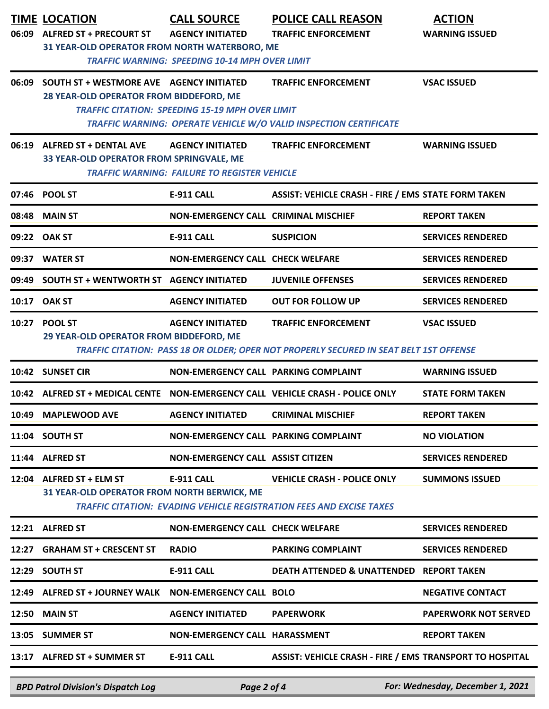| 06:09 | <b>TIME LOCATION</b><br><b>ALFRED ST + PRECOURT ST</b><br>31 YEAR-OLD OPERATOR FROM NORTH WATERBORO, ME | <b>CALL SOURCE</b><br><b>AGENCY INITIATED</b><br><b>TRAFFIC WARNING: SPEEDING 10-14 MPH OVER LIMIT</b> | <b>POLICE CALL REASON</b><br><b>TRAFFIC ENFORCEMENT</b>                                                              | <b>ACTION</b><br><b>WARNING ISSUED</b> |
|-------|---------------------------------------------------------------------------------------------------------|--------------------------------------------------------------------------------------------------------|----------------------------------------------------------------------------------------------------------------------|----------------------------------------|
| 06:09 | <b>SOUTH ST + WESTMORE AVE AGENCY INITIATED</b><br>28 YEAR-OLD OPERATOR FROM BIDDEFORD, ME              | <b>TRAFFIC CITATION: SPEEDING 15-19 MPH OVER LIMIT</b>                                                 | <b>TRAFFIC ENFORCEMENT</b><br>TRAFFIC WARNING: OPERATE VEHICLE W/O VALID INSPECTION CERTIFICATE                      | <b>VSAC ISSUED</b>                     |
|       | 06:19 ALFRED ST + DENTAL AVE<br>33 YEAR-OLD OPERATOR FROM SPRINGVALE, ME                                | <b>AGENCY INITIATED</b><br><b>TRAFFIC WARNING: FAILURE TO REGISTER VEHICLE</b>                         | <b>TRAFFIC ENFORCEMENT</b>                                                                                           | <b>WARNING ISSUED</b>                  |
|       | 07:46 POOL ST                                                                                           | E-911 CALL                                                                                             | <b>ASSIST: VEHICLE CRASH - FIRE / EMS STATE FORM TAKEN</b>                                                           |                                        |
|       | 08:48 MAIN ST                                                                                           | NON-EMERGENCY CALL CRIMINAL MISCHIEF                                                                   |                                                                                                                      | <b>REPORT TAKEN</b>                    |
|       | 09:22 OAK ST                                                                                            | <b>E-911 CALL</b>                                                                                      | <b>SUSPICION</b>                                                                                                     | <b>SERVICES RENDERED</b>               |
| 09:37 | <b>WATER ST</b>                                                                                         | <b>NON-EMERGENCY CALL CHECK WELFARE</b>                                                                |                                                                                                                      | <b>SERVICES RENDERED</b>               |
| 09:49 | SOUTH ST + WENTWORTH ST AGENCY INITIATED                                                                |                                                                                                        | <b>JUVENILE OFFENSES</b>                                                                                             | <b>SERVICES RENDERED</b>               |
|       | 10:17 OAK ST                                                                                            | <b>AGENCY INITIATED</b>                                                                                | <b>OUT FOR FOLLOW UP</b>                                                                                             | <b>SERVICES RENDERED</b>               |
|       | 10:27 POOL ST<br>29 YEAR-OLD OPERATOR FROM BIDDEFORD, ME                                                | <b>AGENCY INITIATED</b>                                                                                | <b>TRAFFIC ENFORCEMENT</b><br>TRAFFIC CITATION: PASS 18 OR OLDER; OPER NOT PROPERLY SECURED IN SEAT BELT 1ST OFFENSE | <b>VSAC ISSUED</b>                     |
|       | 10:42 SUNSET CIR                                                                                        | NON-EMERGENCY CALL PARKING COMPLAINT                                                                   |                                                                                                                      | <b>WARNING ISSUED</b>                  |
|       |                                                                                                         |                                                                                                        | 10:42 ALFRED ST + MEDICAL CENTE NON-EMERGENCY CALL VEHICLE CRASH - POLICE ONLY                                       | <b>STATE FORM TAKEN</b>                |
| 10:49 | <b>MAPLEWOOD AVE</b>                                                                                    | <b>AGENCY INITIATED</b>                                                                                | <b>CRIMINAL MISCHIEF</b>                                                                                             | <b>REPORT TAKEN</b>                    |
| 11:04 | <b>SOUTH ST</b>                                                                                         | NON-EMERGENCY CALL PARKING COMPLAINT                                                                   |                                                                                                                      | <b>NO VIOLATION</b>                    |
|       | 11:44 ALFRED ST                                                                                         | <b>NON-EMERGENCY CALL ASSIST CITIZEN</b>                                                               |                                                                                                                      | <b>SERVICES RENDERED</b>               |
|       | 12:04 ALFRED ST + ELM ST<br>31 YEAR-OLD OPERATOR FROM NORTH BERWICK, ME                                 | <b>E-911 CALL</b>                                                                                      | <b>VEHICLE CRASH - POLICE ONLY</b><br><b>TRAFFIC CITATION: EVADING VEHICLE REGISTRATION FEES AND EXCISE TAXES</b>    | <b>SUMMONS ISSUED</b>                  |
|       | 12:21 ALFRED ST                                                                                         | <b>NON-EMERGENCY CALL CHECK WELFARE</b>                                                                |                                                                                                                      | <b>SERVICES RENDERED</b>               |
| 12:27 | <b>GRAHAM ST + CRESCENT ST</b>                                                                          | <b>RADIO</b>                                                                                           | <b>PARKING COMPLAINT</b>                                                                                             | <b>SERVICES RENDERED</b>               |
|       | 12:29 SOUTH ST                                                                                          | <b>E-911 CALL</b>                                                                                      | DEATH ATTENDED & UNATTENDED REPORT TAKEN                                                                             |                                        |
|       | 12:49 ALFRED ST + JOURNEY WALK NON-EMERGENCY CALL BOLO                                                  |                                                                                                        |                                                                                                                      | <b>NEGATIVE CONTACT</b>                |
|       | <b>12:50 MAIN ST</b>                                                                                    | <b>AGENCY INITIATED</b>                                                                                | <b>PAPERWORK</b>                                                                                                     | <b>PAPERWORK NOT SERVED</b>            |
|       | 13:05 SUMMER ST                                                                                         | NON-EMERGENCY CALL HARASSMENT                                                                          |                                                                                                                      | <b>REPORT TAKEN</b>                    |
|       | 13:17 ALFRED ST + SUMMER ST                                                                             | <b>E-911 CALL</b>                                                                                      | ASSIST: VEHICLE CRASH - FIRE / EMS TRANSPORT TO HOSPITAL                                                             |                                        |

*BPD Patrol Division's Dispatch Log Page 2 of 4 For: Wednesday, December 1, 2021*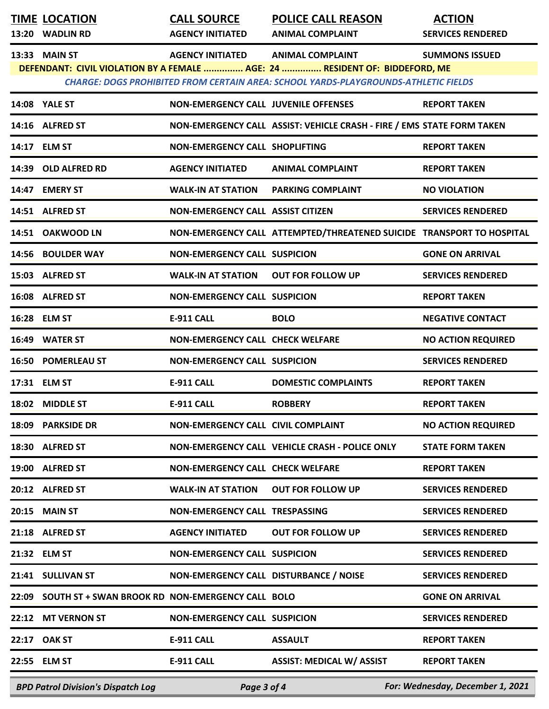| <b>TIME LOCATION</b>                                   | <b>CALL SOURCE</b>                          | <b>POLICE CALL REASON</b>                                                                                                                                                 | <b>ACTION</b>                    |
|--------------------------------------------------------|---------------------------------------------|---------------------------------------------------------------------------------------------------------------------------------------------------------------------------|----------------------------------|
| 13:20 WADLIN RD                                        | <b>AGENCY INITIATED</b>                     | <b>ANIMAL COMPLAINT</b>                                                                                                                                                   | <b>SERVICES RENDERED</b>         |
| 13:33 MAIN ST                                          | <b>AGENCY INITIATED</b>                     | <b>ANIMAL COMPLAINT</b>                                                                                                                                                   | <b>SUMMONS ISSUED</b>            |
|                                                        |                                             | DEFENDANT: CIVIL VIOLATION BY A FEMALE  AGE: 24  RESIDENT OF: BIDDEFORD, ME<br><b>CHARGE: DOGS PROHIBITED FROM CERTAIN AREA: SCHOOL YARDS-PLAYGROUNDS-ATHLETIC FIELDS</b> |                                  |
| <b>14:08 YALE ST</b>                                   | <b>NON-EMERGENCY CALL JUVENILE OFFENSES</b> |                                                                                                                                                                           | <b>REPORT TAKEN</b>              |
| 14:16 ALFRED ST                                        |                                             | NON-EMERGENCY CALL ASSIST: VEHICLE CRASH - FIRE / EMS STATE FORM TAKEN                                                                                                    |                                  |
| 14:17 ELM ST                                           | NON-EMERGENCY CALL SHOPLIFTING              |                                                                                                                                                                           | <b>REPORT TAKEN</b>              |
| 14:39 OLD ALFRED RD                                    | <b>AGENCY INITIATED</b>                     | <b>ANIMAL COMPLAINT</b>                                                                                                                                                   | <b>REPORT TAKEN</b>              |
| 14:47 EMERY ST                                         | <b>WALK-IN AT STATION</b>                   | <b>PARKING COMPLAINT</b>                                                                                                                                                  | <b>NO VIOLATION</b>              |
| 14:51 ALFRED ST                                        | <b>NON-EMERGENCY CALL ASSIST CITIZEN</b>    |                                                                                                                                                                           | <b>SERVICES RENDERED</b>         |
| 14:51 OAKWOOD LN                                       |                                             | NON-EMERGENCY CALL ATTEMPTED/THREATENED SUICIDE TRANSPORT TO HOSPITAL                                                                                                     |                                  |
| 14:56 BOULDER WAY                                      | <b>NON-EMERGENCY CALL SUSPICION</b>         |                                                                                                                                                                           | <b>GONE ON ARRIVAL</b>           |
| 15:03 ALFRED ST                                        | <b>WALK-IN AT STATION</b>                   | <b>OUT FOR FOLLOW UP</b>                                                                                                                                                  | <b>SERVICES RENDERED</b>         |
| 16:08 ALFRED ST                                        | <b>NON-EMERGENCY CALL SUSPICION</b>         |                                                                                                                                                                           | <b>REPORT TAKEN</b>              |
| 16:28 ELM ST                                           | <b>E-911 CALL</b>                           | <b>BOLO</b>                                                                                                                                                               | <b>NEGATIVE CONTACT</b>          |
| 16:49 WATER ST                                         | NON-EMERGENCY CALL CHECK WELFARE            |                                                                                                                                                                           | <b>NO ACTION REQUIRED</b>        |
| 16:50 POMERLEAU ST                                     | <b>NON-EMERGENCY CALL SUSPICION</b>         |                                                                                                                                                                           | <b>SERVICES RENDERED</b>         |
| 17:31 ELM ST                                           | <b>E-911 CALL</b>                           | <b>DOMESTIC COMPLAINTS</b>                                                                                                                                                | <b>REPORT TAKEN</b>              |
| 18:02 MIDDLE ST                                        | <b>E-911 CALL</b>                           | <b>ROBBERY</b>                                                                                                                                                            | <b>REPORT TAKEN</b>              |
| 18:09 PARKSIDE DR                                      | NON-EMERGENCY CALL CIVIL COMPLAINT          |                                                                                                                                                                           | <b>NO ACTION REQUIRED</b>        |
| 18:30 ALFRED ST                                        |                                             | NON-EMERGENCY CALL VEHICLE CRASH - POLICE ONLY                                                                                                                            | <b>STATE FORM TAKEN</b>          |
| 19:00 ALFRED ST                                        | NON-EMERGENCY CALL CHECK WELFARE            |                                                                                                                                                                           | <b>REPORT TAKEN</b>              |
| 20:12 ALFRED ST                                        | <b>WALK-IN AT STATION</b>                   | <b>OUT FOR FOLLOW UP</b>                                                                                                                                                  | <b>SERVICES RENDERED</b>         |
| 20:15 MAIN ST                                          | NON-EMERGENCY CALL TRESPASSING              |                                                                                                                                                                           | <b>SERVICES RENDERED</b>         |
| 21:18 ALFRED ST                                        | <b>AGENCY INITIATED</b>                     | <b>OUT FOR FOLLOW UP</b>                                                                                                                                                  | <b>SERVICES RENDERED</b>         |
| 21:32 ELM ST                                           | <b>NON-EMERGENCY CALL SUSPICION</b>         |                                                                                                                                                                           | <b>SERVICES RENDERED</b>         |
| 21:41 SULLIVAN ST                                      | NON-EMERGENCY CALL DISTURBANCE / NOISE      |                                                                                                                                                                           | <b>SERVICES RENDERED</b>         |
| 22:09 SOUTH ST + SWAN BROOK RD NON-EMERGENCY CALL BOLO |                                             |                                                                                                                                                                           | <b>GONE ON ARRIVAL</b>           |
| 22:12 MT VERNON ST                                     | <b>NON-EMERGENCY CALL SUSPICION</b>         |                                                                                                                                                                           | <b>SERVICES RENDERED</b>         |
| 22:17 OAK ST                                           | <b>E-911 CALL</b>                           | <b>ASSAULT</b>                                                                                                                                                            | <b>REPORT TAKEN</b>              |
| 22:55 ELM ST                                           | <b>E-911 CALL</b>                           | <b>ASSIST: MEDICAL W/ ASSIST</b>                                                                                                                                          | <b>REPORT TAKEN</b>              |
| <b>BPD Patrol Division's Dispatch Log</b>              | Page 3 of 4                                 |                                                                                                                                                                           | For: Wednesday, December 1, 2021 |